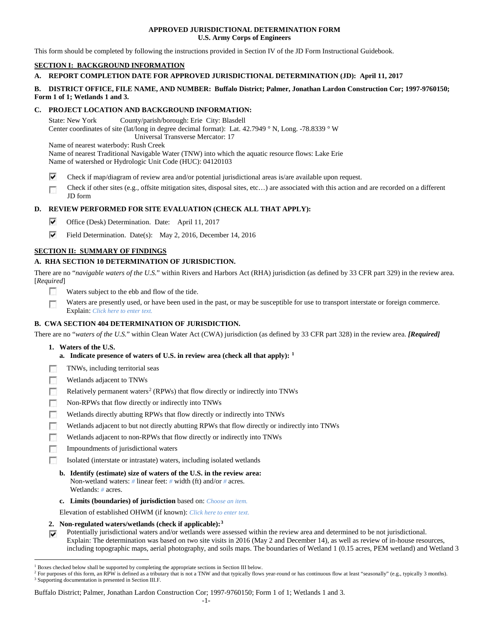## **APPROVED JURISDICTIONAL DETERMINATION FORM U.S. Army Corps of Engineers**

This form should be completed by following the instructions provided in Section IV of the JD Form Instructional Guidebook.

# **SECTION I: BACKGROUND INFORMATION**

# **A. REPORT COMPLETION DATE FOR APPROVED JURISDICTIONAL DETERMINATION (JD): April 11, 2017**

## **B. DISTRICT OFFICE, FILE NAME, AND NUMBER: Buffalo District; Palmer, Jonathan Lardon Construction Cor; 1997-9760150; Form 1 of 1; Wetlands 1 and 3.**

## **C. PROJECT LOCATION AND BACKGROUND INFORMATION:**

State: New York County/parish/borough: Erie City: Blasdell Center coordinates of site (lat/long in degree decimal format): Lat. 42.7949 ° N, Long. -78.8339 ° W Universal Transverse Mercator: 17

Name of nearest waterbody: Rush Creek

Name of nearest Traditional Navigable Water (TNW) into which the aquatic resource flows: Lake Erie Name of watershed or Hydrologic Unit Code (HUC): 04120103

- ⊽ Check if map/diagram of review area and/or potential jurisdictional areas is/are available upon request.
- Check if other sites (e.g., offsite mitigation sites, disposal sites, etc…) are associated with this action and are recorded on a different œ JD form

# **D. REVIEW PERFORMED FOR SITE EVALUATION (CHECK ALL THAT APPLY):**

- ⊽ Office (Desk) Determination. Date: April 11, 2017
- ⊽ Field Determination. Date(s): May 2, 2016, December 14, 2016

## **SECTION II: SUMMARY OF FINDINGS**

# **A. RHA SECTION 10 DETERMINATION OF JURISDICTION.**

There are no "*navigable waters of the U.S.*" within Rivers and Harbors Act (RHA) jurisdiction (as defined by 33 CFR part 329) in the review area. [*Required*]

- **IST** Waters subject to the ebb and flow of the tide.
- Waters are presently used, or have been used in the past, or may be susceptible for use to transport interstate or foreign commerce. Г Explain: *Click here to enter text.*

## **B. CWA SECTION 404 DETERMINATION OF JURISDICTION.**

There are no "*waters of the U.S.*" within Clean Water Act (CWA) jurisdiction (as defined by 33 CFR part 328) in the review area. *[Required]*

- **1. Waters of the U.S.**
	- **a. Indicate presence of waters of U.S. in review area (check all that apply): [1](#page-0-0)**
- п TNWs, including territorial seas
- Wetlands adjacent to TNWs п
- Relatively permanent waters<sup>[2](#page-0-1)</sup> (RPWs) that flow directly or indirectly into TNWs n
- п Non-RPWs that flow directly or indirectly into TNWs
- Wetlands directly abutting RPWs that flow directly or indirectly into TNWs п
- г Wetlands adjacent to but not directly abutting RPWs that flow directly or indirectly into TNWs
- г Wetlands adjacent to non-RPWs that flow directly or indirectly into TNWs
- п Impoundments of jurisdictional waters
- Isolated (interstate or intrastate) waters, including isolated wetlands n.
	- **b. Identify (estimate) size of waters of the U.S. in the review area:** Non-wetland waters: *#* linear feet: *#* width (ft) and/or *#* acres. Wetlands: *#* acres.
	- **c. Limits (boundaries) of jurisdiction** based on: *Choose an item.*

Elevation of established OHWM (if known): *Click here to enter text.*

- **2. Non-regulated waters/wetlands (check if applicable):[3](#page-0-2)**
- Potentially jurisdictional waters and/or wetlands were assessed within the review area and determined to be not jurisdictional. Explain: The determination was based on two site visits in 2016 (May 2 and December 14), as well as review of in-house resources, including topographic maps, aerial photography, and soils maps. The boundaries of Wetland 1 (0.15 acres, PEM wetland) and Wetland 3

Buffalo District; Palmer, Jonathan Lardon Construction Cor; 1997-9760150; Form 1 of 1; Wetlands 1 and 3.

<span id="page-0-0"></span><sup>&</sup>lt;sup>1</sup> Boxes checked below shall be supported by completing the appropriate sections in Section III below.

<span id="page-0-2"></span><span id="page-0-1"></span><sup>&</sup>lt;sup>2</sup> For purposes of this form, an RPW is defined as a tributary that is not a TNW and that typically flows year-round or has continuous flow at least "seasonally" (e.g., typically 3 months). <sup>3</sup> Supporting documentation is presented in Section III.F.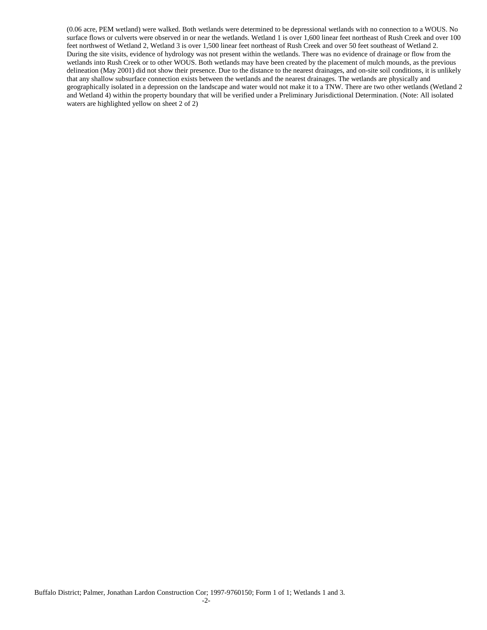(0.06 acre, PEM wetland) were walked. Both wetlands were determined to be depressional wetlands with no connection to a WOUS. No surface flows or culverts were observed in or near the wetlands. Wetland 1 is over 1,600 linear feet northeast of Rush Creek and over 100 feet northwest of Wetland 2, Wetland 3 is over 1,500 linear feet northeast of Rush Creek and over 50 feet southeast of Wetland 2. During the site visits, evidence of hydrology was not present within the wetlands. There was no evidence of drainage or flow from the wetlands into Rush Creek or to other WOUS. Both wetlands may have been created by the placement of mulch mounds, as the previous delineation (May 2001) did not show their presence. Due to the distance to the nearest drainages, and on-site soil conditions, it is unlikely that any shallow subsurface connection exists between the wetlands and the nearest drainages. The wetlands are physically and geographically isolated in a depression on the landscape and water would not make it to a TNW. There are two other wetlands (Wetland 2 and Wetland 4) within the property boundary that will be verified under a Preliminary Jurisdictional Determination. (Note: All isolated waters are highlighted yellow on sheet 2 of 2)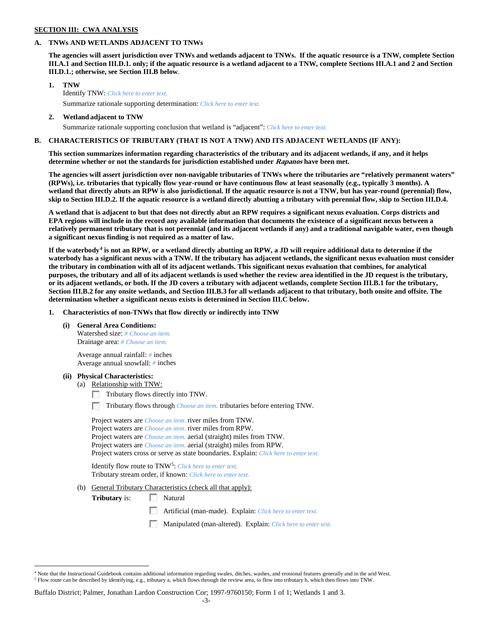### **SECTION III: CWA ANALYSIS**

## **A. TNWs AND WETLANDS ADJACENT TO TNWs**

**The agencies will assert jurisdiction over TNWs and wetlands adjacent to TNWs. If the aquatic resource is a TNW, complete Section III.A.1 and Section III.D.1. only; if the aquatic resource is a wetland adjacent to a TNW, complete Sections III.A.1 and 2 and Section III.D.1.; otherwise, see Section III.B below**.

- **1. TNW**  Identify TNW: *Click here to enter text.*
	- Summarize rationale supporting determination: *Click here to enter text.*
- **2. Wetland adjacent to TNW** Summarize rationale supporting conclusion that wetland is "adjacent": *Click here to enter text.*

## **B. CHARACTERISTICS OF TRIBUTARY (THAT IS NOT A TNW) AND ITS ADJACENT WETLANDS (IF ANY):**

**This section summarizes information regarding characteristics of the tributary and its adjacent wetlands, if any, and it helps determine whether or not the standards for jurisdiction established under Rapanos have been met.** 

**The agencies will assert jurisdiction over non-navigable tributaries of TNWs where the tributaries are "relatively permanent waters" (RPWs), i.e. tributaries that typically flow year-round or have continuous flow at least seasonally (e.g., typically 3 months). A wetland that directly abuts an RPW is also jurisdictional. If the aquatic resource is not a TNW, but has year-round (perennial) flow, skip to Section III.D.2. If the aquatic resource is a wetland directly abutting a tributary with perennial flow, skip to Section III.D.4.**

**A wetland that is adjacent to but that does not directly abut an RPW requires a significant nexus evaluation. Corps districts and EPA regions will include in the record any available information that documents the existence of a significant nexus between a relatively permanent tributary that is not perennial (and its adjacent wetlands if any) and a traditional navigable water, even though a significant nexus finding is not required as a matter of law.**

**If the waterbody[4](#page-2-0) is not an RPW, or a wetland directly abutting an RPW, a JD will require additional data to determine if the waterbody has a significant nexus with a TNW. If the tributary has adjacent wetlands, the significant nexus evaluation must consider the tributary in combination with all of its adjacent wetlands. This significant nexus evaluation that combines, for analytical purposes, the tributary and all of its adjacent wetlands is used whether the review area identified in the JD request is the tributary, or its adjacent wetlands, or both. If the JD covers a tributary with adjacent wetlands, complete Section III.B.1 for the tributary, Section III.B.2 for any onsite wetlands, and Section III.B.3 for all wetlands adjacent to that tributary, both onsite and offsite. The determination whether a significant nexus exists is determined in Section III.C below.**

**1. Characteristics of non-TNWs that flow directly or indirectly into TNW**

**(i) General Area Conditions:**

Watershed size: *# Choose an item.* Drainage area: *# Choose an item.*

Average annual rainfall: *#* inches Average annual snowfall: *#* inches

### **(ii) Physical Characteristics:**

- (a) Relationship with TNW:
	- Tributary flows directly into TNW.

n Tributary flows through *Choose an item.* tributaries before entering TNW.

Project waters are *Choose an item.* river miles from TNW. Project waters are *Choose an item.* river miles from RPW. Project waters are *Choose an item.* aerial (straight) miles from TNW. Project waters are *Choose an item.* aerial (straight) miles from RPW. Project waters cross or serve as state boundaries. Explain: *Click here to enter text.*

Identify flow route to TNW[5:](#page-2-1) *Click here to enter text.* Tributary stream order, if known: *Click here to enter text.*

(b) General Tributary Characteristics (check all that apply):

**Tributary** is: Natural

 $\sim$ Artificial (man-made). Explain: *Click here to enter text.*

Manipulated (man-altered). Explain: *Click here to enter text.*

<span id="page-2-1"></span><span id="page-2-0"></span> $4$  Note that the Instructional Guidebook contains additional information regarding swales, ditches, washes, and erosional features generally and in the arid West. <sup>5</sup> Flow route can be described by identifying, e.g., tributary a, which flows through the review area, to flow into tributary b, which then flows into TNW.

Buffalo District; Palmer, Jonathan Lardon Construction Cor; 1997-9760150; Form 1 of 1; Wetlands 1 and 3.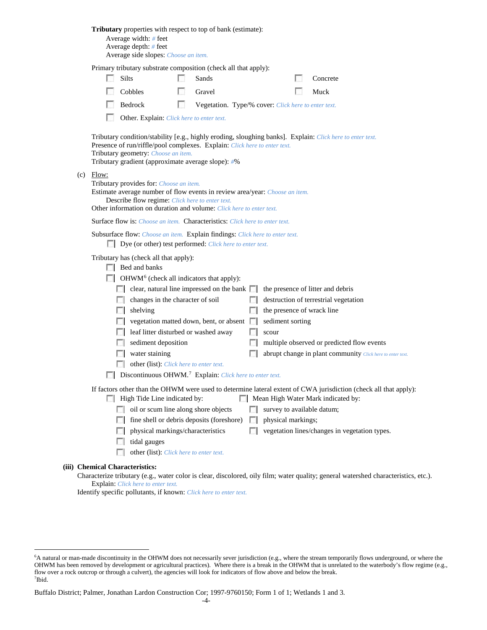|                                                                                                                                                                                                                                                                                                                                                                            | <b>Tributary</b> properties with respect to top of bank (estimate):<br>Average width: $#$ feet<br>Average depth: $#$ feet<br>Average side slopes: Choose an item.                      |                                                                                                                                                                        |    |                                                     |            |                    |                                   |                                                                                                                                     |  |  |                                                                                                                                          |  |
|----------------------------------------------------------------------------------------------------------------------------------------------------------------------------------------------------------------------------------------------------------------------------------------------------------------------------------------------------------------------------|----------------------------------------------------------------------------------------------------------------------------------------------------------------------------------------|------------------------------------------------------------------------------------------------------------------------------------------------------------------------|----|-----------------------------------------------------|------------|--------------------|-----------------------------------|-------------------------------------------------------------------------------------------------------------------------------------|--|--|------------------------------------------------------------------------------------------------------------------------------------------|--|
|                                                                                                                                                                                                                                                                                                                                                                            | Primary tributary substrate composition (check all that apply):                                                                                                                        |                                                                                                                                                                        |    |                                                     |            |                    |                                   |                                                                                                                                     |  |  |                                                                                                                                          |  |
|                                                                                                                                                                                                                                                                                                                                                                            |                                                                                                                                                                                        | Silts                                                                                                                                                                  |    | Sands                                               |            |                    |                                   | Concrete                                                                                                                            |  |  |                                                                                                                                          |  |
|                                                                                                                                                                                                                                                                                                                                                                            |                                                                                                                                                                                        | Cobbles                                                                                                                                                                |    | Gravel                                              |            |                    |                                   | Muck                                                                                                                                |  |  |                                                                                                                                          |  |
|                                                                                                                                                                                                                                                                                                                                                                            |                                                                                                                                                                                        | Bedrock                                                                                                                                                                | L. | Vegetation. Type/% cover: Click here to enter text. |            |                    |                                   |                                                                                                                                     |  |  |                                                                                                                                          |  |
|                                                                                                                                                                                                                                                                                                                                                                            |                                                                                                                                                                                        | Other. Explain: Click here to enter text.                                                                                                                              |    |                                                     |            |                    |                                   |                                                                                                                                     |  |  |                                                                                                                                          |  |
|                                                                                                                                                                                                                                                                                                                                                                            |                                                                                                                                                                                        | Presence of run/riffle/pool complexes. Explain: Click here to enter text.<br>Tributary geometry: Choose an item.<br>Tributary gradient (approximate average slope): #% |    |                                                     |            |                    |                                   | Tributary condition/stability [e.g., highly eroding, sloughing banks]. Explain: Click here to enter text.                           |  |  |                                                                                                                                          |  |
| $(c)$ Flow:<br>Tributary provides for: Choose an item.<br>Estimate average number of flow events in review area/year: Choose an item.<br>Describe flow regime: Click here to enter text.<br>Other information on duration and volume: Click here to enter text.<br><b>Surface flow is:</b> <i>Choose an item.</i> <b>Characteristics:</b> <i>Click here to enter text.</i> |                                                                                                                                                                                        |                                                                                                                                                                        |    |                                                     |            |                    |                                   |                                                                                                                                     |  |  |                                                                                                                                          |  |
|                                                                                                                                                                                                                                                                                                                                                                            |                                                                                                                                                                                        |                                                                                                                                                                        |    |                                                     |            |                    |                                   |                                                                                                                                     |  |  | Subsurface flow: Choose an item. Explain findings: Click here to enter text.<br>Dye (or other) test performed: Click here to enter text. |  |
|                                                                                                                                                                                                                                                                                                                                                                            | Tributary has (check all that apply):<br>$\Box$ Bed and banks                                                                                                                          |                                                                                                                                                                        |    |                                                     |            |                    |                                   |                                                                                                                                     |  |  |                                                                                                                                          |  |
|                                                                                                                                                                                                                                                                                                                                                                            | $\Box$ OHWM <sup>6</sup> (check all indicators that apply):                                                                                                                            |                                                                                                                                                                        |    |                                                     |            |                    |                                   |                                                                                                                                     |  |  |                                                                                                                                          |  |
|                                                                                                                                                                                                                                                                                                                                                                            |                                                                                                                                                                                        | $\Box$ clear, natural line impressed on the bank $\Box$                                                                                                                |    |                                                     |            |                    | the presence of litter and debris |                                                                                                                                     |  |  |                                                                                                                                          |  |
|                                                                                                                                                                                                                                                                                                                                                                            |                                                                                                                                                                                        | changes in the character of soil                                                                                                                                       |    |                                                     |            |                    |                                   | destruction of terrestrial vegetation                                                                                               |  |  |                                                                                                                                          |  |
|                                                                                                                                                                                                                                                                                                                                                                            | L.                                                                                                                                                                                     | shelving                                                                                                                                                               |    |                                                     |            |                    |                                   | the presence of wrack line                                                                                                          |  |  |                                                                                                                                          |  |
|                                                                                                                                                                                                                                                                                                                                                                            |                                                                                                                                                                                        |                                                                                                                                                                        |    | vegetation matted down, bent, or absent             |            | sediment sorting   |                                   |                                                                                                                                     |  |  |                                                                                                                                          |  |
|                                                                                                                                                                                                                                                                                                                                                                            |                                                                                                                                                                                        | leaf litter disturbed or washed away                                                                                                                                   |    |                                                     |            | scour              |                                   |                                                                                                                                     |  |  |                                                                                                                                          |  |
|                                                                                                                                                                                                                                                                                                                                                                            |                                                                                                                                                                                        | sediment deposition                                                                                                                                                    |    |                                                     |            |                    |                                   | multiple observed or predicted flow events                                                                                          |  |  |                                                                                                                                          |  |
|                                                                                                                                                                                                                                                                                                                                                                            |                                                                                                                                                                                        | water staining                                                                                                                                                         |    |                                                     |            |                    |                                   | abrupt change in plant community Click here to enter text.                                                                          |  |  |                                                                                                                                          |  |
|                                                                                                                                                                                                                                                                                                                                                                            |                                                                                                                                                                                        | other (list): Click here to enter text.                                                                                                                                |    |                                                     |            |                    |                                   |                                                                                                                                     |  |  |                                                                                                                                          |  |
|                                                                                                                                                                                                                                                                                                                                                                            | Discontinuous OHWM. <sup>7</sup> Explain: Click here to enter text.                                                                                                                    |                                                                                                                                                                        |    |                                                     |            |                    |                                   |                                                                                                                                     |  |  |                                                                                                                                          |  |
|                                                                                                                                                                                                                                                                                                                                                                            | If factors other than the OHWM were used to determine lateral extent of CWA jurisdiction (check all that apply):<br>Mean High Water Mark indicated by:<br>High Tide Line indicated by: |                                                                                                                                                                        |    |                                                     |            |                    |                                   |                                                                                                                                     |  |  |                                                                                                                                          |  |
|                                                                                                                                                                                                                                                                                                                                                                            | $\sim$                                                                                                                                                                                 | oil or scum line along shore objects                                                                                                                                   |    |                                                     |            |                    |                                   | survey to available datum;                                                                                                          |  |  |                                                                                                                                          |  |
|                                                                                                                                                                                                                                                                                                                                                                            | FН                                                                                                                                                                                     | fine shell or debris deposits (foreshore)                                                                                                                              |    |                                                     | $\sim$     | physical markings; |                                   |                                                                                                                                     |  |  |                                                                                                                                          |  |
|                                                                                                                                                                                                                                                                                                                                                                            | L.                                                                                                                                                                                     | physical markings/characteristics                                                                                                                                      |    |                                                     | <b>ISB</b> |                    |                                   | vegetation lines/changes in vegetation types.                                                                                       |  |  |                                                                                                                                          |  |
|                                                                                                                                                                                                                                                                                                                                                                            |                                                                                                                                                                                        | tidal gauges                                                                                                                                                           |    |                                                     |            |                    |                                   |                                                                                                                                     |  |  |                                                                                                                                          |  |
|                                                                                                                                                                                                                                                                                                                                                                            |                                                                                                                                                                                        | other (list): Click here to enter text.                                                                                                                                |    |                                                     |            |                    |                                   |                                                                                                                                     |  |  |                                                                                                                                          |  |
|                                                                                                                                                                                                                                                                                                                                                                            | <b>Chemical Characteristics:</b>                                                                                                                                                       |                                                                                                                                                                        |    |                                                     |            |                    |                                   | Characterize tributary (e.g., water color is clear, discolored, oily film; water quality; general watershed characteristics, etc.). |  |  |                                                                                                                                          |  |

Explain: *Click here to enter text.*

**(iii)** 

Identify specific pollutants, if known: *Click here to enter text.*

<span id="page-3-1"></span><span id="page-3-0"></span> <sup>6</sup> <sup>6</sup>A natural or man-made discontinuity in the OHWM does not necessarily sever jurisdiction (e.g., where the stream temporarily flows underground, or where the OHWM has been removed by development or agricultural practices). Where there is a break in the OHWM that is unrelated to the waterbody's flow regime (e.g., flow over a rock outcrop or through a culvert), the agencies will look for indicators of flow above and below the break. 7 Ibid.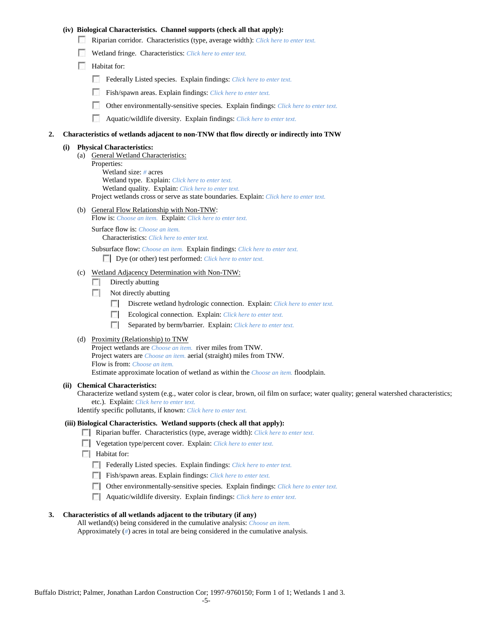## **(iv) Biological Characteristics. Channel supports (check all that apply):**

- Riparian corridor. Characteristics (type, average width): *Click here to enter text.*
- Wetland fringe. Characteristics: *Click here to enter text.*
- Habitat for:
	- Federally Listed species. Explain findings: *Click here to enter text.*
	- Fish/spawn areas. Explain findings: *Click here to enter text.*
	- Other environmentally-sensitive species. Explain findings: *Click here to enter text.* п.
	- n Aquatic/wildlife diversity. Explain findings: *Click here to enter text.*

#### **2. Characteristics of wetlands adjacent to non-TNW that flow directly or indirectly into TNW**

#### **(i) Physical Characteristics:**

- (a) General Wetland Characteristics:
	- Properties:

Wetland size: *#* acres Wetland type. Explain: *Click here to enter text.*

Wetland quality. Explain: *Click here to enter text.*

Project wetlands cross or serve as state boundaries. Explain: *Click here to enter text.*

(b) General Flow Relationship with Non-TNW: Flow is: *Choose an item.* Explain: *Click here to enter text.*

Surface flow is: *Choose an item.* Characteristics: *Click here to enter text.*

Subsurface flow: *Choose an item.* Explain findings: *Click here to enter text.*

Dye (or other) test performed: *Click here to enter text.*

#### (c) Wetland Adjacency Determination with Non-TNW:

- $\Box$  Directly abutting
- Not directly abutting
	- 100 Discrete wetland hydrologic connection. Explain: *Click here to enter text.*
	- Ecological connection. Explain: *Click here to enter text.* **The Contract of the Contract of the Contract of the Contract of the Contract of the Contract of the Contract of the Contract of the Contract of the Contract of the Contract of the Contract of the Contract of the Contract**
	- $\sim$ Separated by berm/barrier. Explain: *Click here to enter text.*
- (d) Proximity (Relationship) to TNW

Project wetlands are *Choose an item.* river miles from TNW. Project waters are *Choose an item.* aerial (straight) miles from TNW. Flow is from: *Choose an item.* Estimate approximate location of wetland as within the *Choose an item.* floodplain.

#### **(ii) Chemical Characteristics:**

Characterize wetland system (e.g., water color is clear, brown, oil film on surface; water quality; general watershed characteristics; etc.). Explain: *Click here to enter text.*

Identify specific pollutants, if known: *Click here to enter text.*

### **(iii) Biological Characteristics. Wetland supports (check all that apply):**

- Riparian buffer. Characteristics (type, average width): *Click here to enter text.*
- Vegetation type/percent cover. Explain: *Click here to enter text.*
- $\Box$  Habitat for:
	- Federally Listed species. Explain findings: *Click here to enter text*.
	- Fish/spawn areas. Explain findings: *Click here to enter text.*
	- Other environmentally-sensitive species. Explain findings: *Click here to enter text.*
	- Aquatic/wildlife diversity. Explain findings: *Click here to enter text.*

#### **3. Characteristics of all wetlands adjacent to the tributary (if any)**

All wetland(s) being considered in the cumulative analysis: *Choose an item.* Approximately (*#*) acres in total are being considered in the cumulative analysis.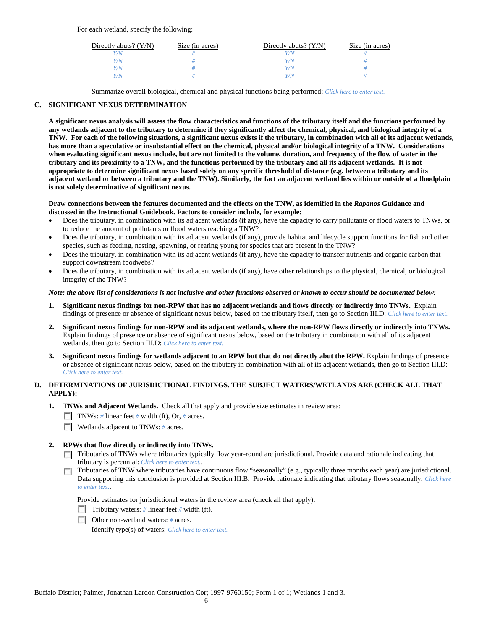For each wetland, specify the following:

| Directly abuts? $(Y/N)$ | Size (in acres) | Directly abuts? $(Y/N)$ | Size (in acres) |
|-------------------------|-----------------|-------------------------|-----------------|
|                         |                 | Y/N                     |                 |
| V/N                     |                 | Y/N                     |                 |
| V/N                     |                 | Y/N                     |                 |
|                         |                 | Y/N                     |                 |

Summarize overall biological, chemical and physical functions being performed: *Click here to enter text.*

## **C. SIGNIFICANT NEXUS DETERMINATION**

**A significant nexus analysis will assess the flow characteristics and functions of the tributary itself and the functions performed by any wetlands adjacent to the tributary to determine if they significantly affect the chemical, physical, and biological integrity of a TNW. For each of the following situations, a significant nexus exists if the tributary, in combination with all of its adjacent wetlands, has more than a speculative or insubstantial effect on the chemical, physical and/or biological integrity of a TNW. Considerations when evaluating significant nexus include, but are not limited to the volume, duration, and frequency of the flow of water in the tributary and its proximity to a TNW, and the functions performed by the tributary and all its adjacent wetlands. It is not appropriate to determine significant nexus based solely on any specific threshold of distance (e.g. between a tributary and its adjacent wetland or between a tributary and the TNW). Similarly, the fact an adjacent wetland lies within or outside of a floodplain is not solely determinative of significant nexus.** 

### **Draw connections between the features documented and the effects on the TNW, as identified in the** *Rapanos* **Guidance and discussed in the Instructional Guidebook. Factors to consider include, for example:**

- Does the tributary, in combination with its adjacent wetlands (if any), have the capacity to carry pollutants or flood waters to TNWs, or to reduce the amount of pollutants or flood waters reaching a TNW?
- Does the tributary, in combination with its adjacent wetlands (if any), provide habitat and lifecycle support functions for fish and other species, such as feeding, nesting, spawning, or rearing young for species that are present in the TNW?
- Does the tributary, in combination with its adjacent wetlands (if any), have the capacity to transfer nutrients and organic carbon that support downstream foodwebs?
- Does the tributary, in combination with its adjacent wetlands (if any), have other relationships to the physical, chemical, or biological integrity of the TNW?

### *Note: the above list of considerations is not inclusive and other functions observed or known to occur should be documented below:*

- **1. Significant nexus findings for non-RPW that has no adjacent wetlands and flows directly or indirectly into TNWs.** Explain findings of presence or absence of significant nexus below, based on the tributary itself, then go to Section III.D: *Click here to enter text.*
- **2. Significant nexus findings for non-RPW and its adjacent wetlands, where the non-RPW flows directly or indirectly into TNWs.**  Explain findings of presence or absence of significant nexus below, based on the tributary in combination with all of its adjacent wetlands, then go to Section III.D: *Click here to enter text.*
- **3. Significant nexus findings for wetlands adjacent to an RPW but that do not directly abut the RPW.** Explain findings of presence or absence of significant nexus below, based on the tributary in combination with all of its adjacent wetlands, then go to Section III.D: *Click here to enter text.*

# **D. DETERMINATIONS OF JURISDICTIONAL FINDINGS. THE SUBJECT WATERS/WETLANDS ARE (CHECK ALL THAT APPLY):**

- **1. TNWs and Adjacent Wetlands.** Check all that apply and provide size estimates in review area:
	- TNWs: *#* linear feet *#* width (ft), Or, *#* acres.
	- **Wetlands adjacent to TNWs:** # acres.

## **2. RPWs that flow directly or indirectly into TNWs.**

- Tributaries of TNWs where tributaries typically flow year-round are jurisdictional. Provide data and rationale indicating that tributary is perennial: *Click here to enter text.*.
- Tributaries of TNW where tributaries have continuous flow "seasonally" (e.g., typically three months each year) are jurisdictional.  $\mathcal{L}$ Data supporting this conclusion is provided at Section III.B. Provide rationale indicating that tributary flows seasonally: *Click here to enter text.*.

Provide estimates for jurisdictional waters in the review area (check all that apply):

- Tributary waters: # linear feet # width (ft).
- Other non-wetland waters: *#* acres.

Identify type(s) of waters: *Click here to enter text.*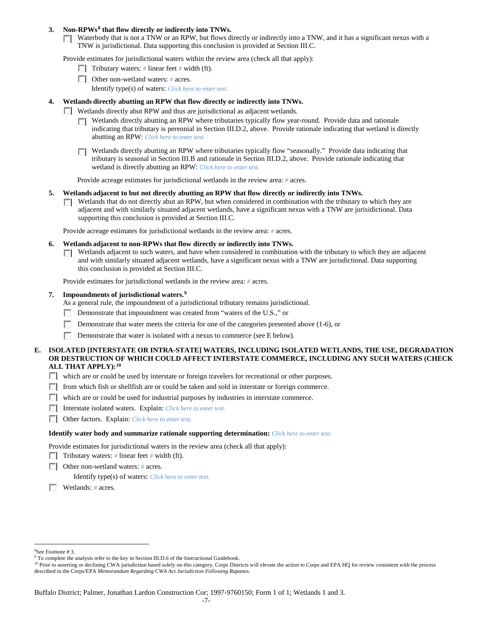### **3. Non-RPWs[8](#page-6-0) that flow directly or indirectly into TNWs.**

Waterbody that is not a TNW or an RPW, but flows directly or indirectly into a TNW, and it has a significant nexus with a TNW is jurisdictional. Data supporting this conclusion is provided at Section III.C.

Provide estimates for jurisdictional waters within the review area (check all that apply):

- **Tributary waters:** # linear feet # width (ft).
- Other non-wetland waters: # acres. Identify type(s) of waters: *Click here to enter text.*
- **4. Wetlands directly abutting an RPW that flow directly or indirectly into TNWs.**
	- **Wetlands directly abut RPW and thus are jurisdictional as adjacent wetlands.** 
		- $\Box$  Wetlands directly abutting an RPW where tributaries typically flow year-round. Provide data and rationale indicating that tributary is perennial in Section III.D.2, above. Provide rationale indicating that wetland is directly abutting an RPW: *Click here to enter text.*
		- Wetlands directly abutting an RPW where tributaries typically flow "seasonally." Provide data indicating that tributary is seasonal in Section III.B and rationale in Section III.D.2, above. Provide rationale indicating that wetland is directly abutting an RPW: *Click here to enter text.*

Provide acreage estimates for jurisdictional wetlands in the review area: *#* acres.

- **5. Wetlands adjacent to but not directly abutting an RPW that flow directly or indirectly into TNWs.**
	- $\Box$  Wetlands that do not directly abut an RPW, but when considered in combination with the tributary to which they are adjacent and with similarly situated adjacent wetlands, have a significant nexus with a TNW are jurisidictional. Data supporting this conclusion is provided at Section III.C.

Provide acreage estimates for jurisdictional wetlands in the review area: *#* acres.

- **6. Wetlands adjacent to non-RPWs that flow directly or indirectly into TNWs.** 
	- Wetlands adjacent to such waters, and have when considered in combination with the tributary to which they are adjacent **TO** and with similarly situated adjacent wetlands, have a significant nexus with a TNW are jurisdictional. Data supporting this conclusion is provided at Section III.C.

Provide estimates for jurisdictional wetlands in the review area: *#* acres.

### **7. Impoundments of jurisdictional waters. [9](#page-6-1)**

As a general rule, the impoundment of a jurisdictional tributary remains jurisdictional.

- Demonstrate that impoundment was created from "waters of the U.S.," or
- Demonstrate that water meets the criteria for one of the categories presented above (1-6), or
- n Demonstrate that water is isolated with a nexus to commerce (see E below).
- **E. ISOLATED [INTERSTATE OR INTRA-STATE] WATERS, INCLUDING ISOLATED WETLANDS, THE USE, DEGRADATION OR DESTRUCTION OF WHICH COULD AFFECT INTERSTATE COMMERCE, INCLUDING ANY SUCH WATERS (CHECK ALL THAT APPLY):[10](#page-6-2)**
	- which are or could be used by interstate or foreign travelers for recreational or other purposes.
	- from which fish or shellfish are or could be taken and sold in interstate or foreign commerce.
	- which are or could be used for industrial purposes by industries in interstate commerce.
	- Interstate isolated waters.Explain: *Click here to enter text.*
	- Other factors.Explain: *Click here to enter text.*

#### **Identify water body and summarize rationale supporting determination:** *Click here to enter text.*

Provide estimates for jurisdictional waters in the review area (check all that apply):

- Tributary waters: # linear feet # width (ft).
- Other non-wetland waters: *#* acres.

Identify type(s) of waters: *Click here to enter text.*

Wetlands: *#* acres.

 $\frac{1}{8}$ See Footnote # 3.

<span id="page-6-1"></span><span id="page-6-0"></span><sup>&</sup>lt;sup>9</sup> To complete the analysis refer to the key in Section III.D.6 of the Instructional Guidebook.

<span id="page-6-2"></span><sup>&</sup>lt;sup>10</sup> Prior to asserting or declining CWA jurisdiction based solely on this category, Corps Districts will elevate the action to Corps and EPA HQ for review consistent with the process described in the Corps/EPA *Memorandum Regarding CWA Act Jurisdiction Following Rapanos.*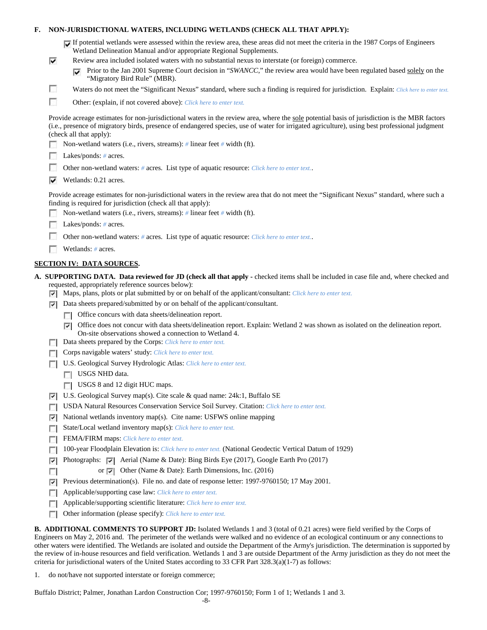## **F. NON-JURISDICTIONAL WATERS, INCLUDING WETLANDS (CHECK ALL THAT APPLY):**

| If potential wetlands were assessed within the review area, these areas did not meet the criteria in the 1987 Corps of Engineers |
|----------------------------------------------------------------------------------------------------------------------------------|
| Wetland Delineation Manual and/or appropriate Regional Supplements.                                                              |

- Review area included isolated waters with no substantial nexus to interstate (or foreign) commerce.
	- **Prior to the Jan 2001 Supreme Court decision in "***SWANCC*," the review area would have been regulated based solely on the "Migratory Bird Rule" (MBR).
- Waters do not meet the "Significant Nexus" standard, where such a finding is required for jurisdiction. Explain: Click here to enter text.
- F Other: (explain, if not covered above): *Click here to enter text.*

Provide acreage estimates for non-jurisdictional waters in the review area, where the sole potential basis of jurisdiction is the MBR factors (i.e., presence of migratory birds, presence of endangered species, use of water for irrigated agriculture), using best professional judgment (check all that apply):

- Non-wetland waters (i.e., rivers, streams): *#* linear feet *#* width (ft).
- Lakes/ponds: # acres.

⊽

п

- n. Other non-wetland waters: *#* acres. List type of aquatic resource: *Click here to enter text.*.
- $\triangledown$  Wetlands: 0.21 acres.

Provide acreage estimates for non-jurisdictional waters in the review area that do not meet the "Significant Nexus" standard, where such a finding is required for jurisdiction (check all that apply):

- Non-wetland waters (i.e., rivers, streams): *#* linear feet *#* width (ft).
- Lakes/ponds: *#* acres.
- **R** Other non-wetland waters: *#* acres. List type of aquatic resource: *Click here to enter text.*.
- Wetlands: # acres.

## **SECTION IV: DATA SOURCES.**

- **A. SUPPORTING DATA. Data reviewed for JD (check all that apply -** checked items shall be included in case file and, where checked and requested, appropriately reference sources below):
	- Maps, plans, plots or plat submitted by or on behalf of the applicant/consultant: *Click here to enter text.*
	- Data sheets prepared/submitted by or on behalf of the applicant/consultant.
		- **T** Office concurs with data sheets/delineation report.
		- Office does not concur with data sheets/delineation report. Explain: Wetland 2 was shown as isolated on the delineation report. On-site observations showed a connection to Wetland 4.
	- Data sheets prepared by the Corps: *Click here to enter text.*
	- Corps navigable waters' study: *Click here to enter text.*
	- U.S. Geological Survey Hydrologic Atlas: *Click here to enter text.*
		- USGS NHD data.
		- USGS 8 and 12 digit HUC maps.
	- U.S. Geological Survey map(s). Cite scale & quad name: 24k:1, Buffalo SE
	- USDA Natural Resources Conservation Service Soil Survey. Citation: *Click here to enter text.*
	- $\triangleright$  National wetlands inventory map(s). Cite name: USFWS online mapping
	- State/Local wetland inventory map(s): *Click here to enter text.*
	- FFEMA/FIRM maps: *Click here to enter text.*
	- 100-year Floodplain Elevation is: *Click here to enter text.* (National Geodectic Vertical Datum of 1929)
	- **Photographs:**  $\bullet$  Aerial (Name & Date): Bing Birds Eye (2017), Google Earth Pro (2017)
	- П or  $\overline{\triangledown}$  Other (Name & Date): Earth Dimensions, Inc. (2016)
	- Previous determination(s). File no. and date of response letter: 1997-9760150; 17 May 2001.
	- Applicable/supporting case law: *Click here to enter text.*
	- Applicable/supporting scientific literature: *Click here to enter text.*  $\overline{a}$
	- Other information (please specify): *Click here to enter text.*

**B. ADDITIONAL COMMENTS TO SUPPORT JD:** Isolated Wetlands 1 and 3 (total of 0.21 acres) were field verified by the Corps of Engineers on May 2, 2016 and. The perimeter of the wetlands were walked and no evidence of an ecological continuum or any connections to other waters were identified. The Wetlands are isolated and outside the Department of the Army's jurisdiction. The determination is supported by the review of in-house resources and field verification. Wetlands 1 and 3 are outside Department of the Army jurisdiction as they do not meet the criteria for jurisdictional waters of the United States according to 33 CFR Part  $328.3(a)(1-7)$  as follows:

1. do not/have not supported interstate or foreign commerce;

Buffalo District; Palmer, Jonathan Lardon Construction Cor; 1997-9760150; Form 1 of 1; Wetlands 1 and 3.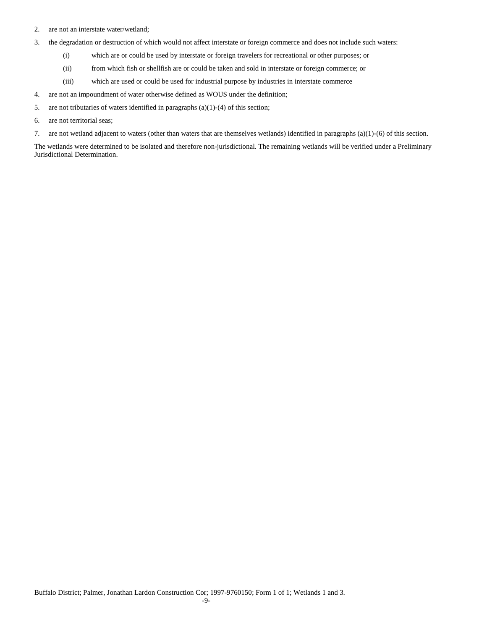- 2. are not an interstate water/wetland;
- 3. the degradation or destruction of which would not affect interstate or foreign commerce and does not include such waters:
	- (i) which are or could be used by interstate or foreign travelers for recreational or other purposes; or
	- (ii) from which fish or shellfish are or could be taken and sold in interstate or foreign commerce; or
	- (iii) which are used or could be used for industrial purpose by industries in interstate commerce
- 4. are not an impoundment of water otherwise defined as WOUS under the definition;
- 5. are not tributaries of waters identified in paragraphs (a)(1)-(4) of this section;
- 6. are not territorial seas;
- 7. are not wetland adjacent to waters (other than waters that are themselves wetlands) identified in paragraphs (a)(1)-(6) of this section.

The wetlands were determined to be isolated and therefore non-jurisdictional. The remaining wetlands will be verified under a Preliminary Jurisdictional Determination.